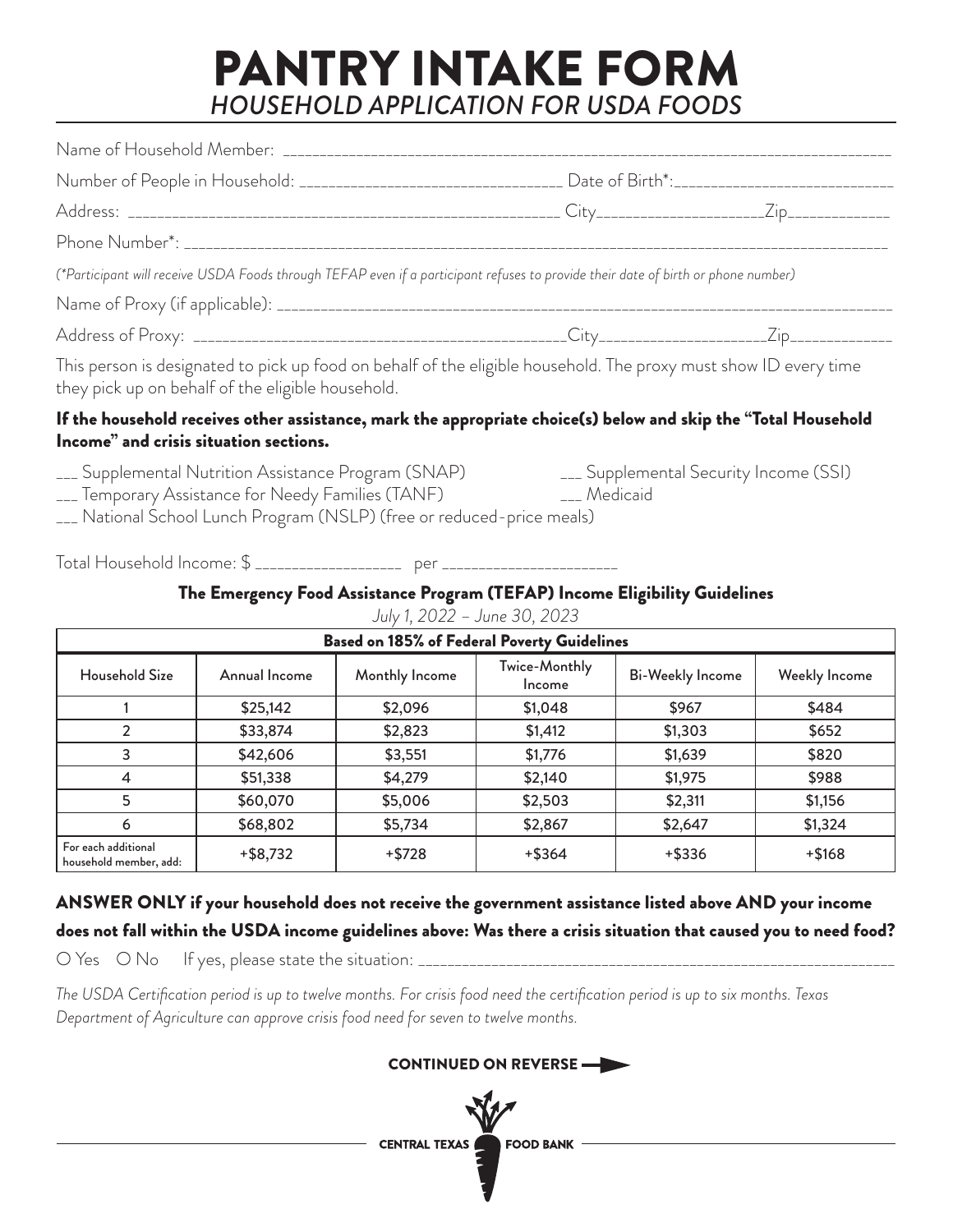## PANTRY INTAKE FORM *HOUSEHOLD APPLICATION FOR USDA FOODS*

| Number of People in Household: __________________________________ Date of Birth*:_____________________________                                                                                                     |                                        |  |
|--------------------------------------------------------------------------------------------------------------------------------------------------------------------------------------------------------------------|----------------------------------------|--|
|                                                                                                                                                                                                                    |                                        |  |
|                                                                                                                                                                                                                    |                                        |  |
| (*Participant will receive USDA Foods through TEFAP even if a participant refuses to provide their date of birth or phone number)                                                                                  |                                        |  |
|                                                                                                                                                                                                                    |                                        |  |
|                                                                                                                                                                                                                    |                                        |  |
| This person is designated to pick up food on behalf of the eligible household. The proxy must show ID every time<br>they pick up on behalf of the eligible household.                                              |                                        |  |
| If the household receives other assistance, mark the appropriate choice(s) below and skip the "Total Household<br>Income" and crisis situation sections.                                                           |                                        |  |
| ___ Supplemental Nutrition Assistance Program (SNAP)<br>___ Temporary Assistance for Needy Families (TANF) _____________________________<br>___ National School Lunch Program (NSLP) (free or reduced-price meals) | ___ Supplemental Security Income (SSI) |  |

Total Household Income: \$ \_\_\_\_\_\_\_\_\_\_\_\_\_\_\_\_\_\_\_\_ per \_\_\_\_\_\_\_\_\_\_\_\_\_\_\_\_\_\_\_\_\_\_\_\_

### The Emergency Food Assistance Program (TEFAP) Income Eligibility Guidelines

| <b>Based on 185% of Federal Poverty Guidelines</b> |               |                |                         |                         |               |
|----------------------------------------------------|---------------|----------------|-------------------------|-------------------------|---------------|
| Household Size                                     | Annual Income | Monthly Income | Twice-Monthly<br>Income | <b>Bi-Weekly Income</b> | Weekly Income |
|                                                    | \$25,142      | \$2,096        | \$1,048                 | \$967                   | \$484         |
| 2                                                  | \$33,874      | \$2,823        | \$1,412                 | \$1,303                 | \$652         |
| 3                                                  | \$42,606      | \$3,551        | \$1,776                 | \$1,639                 | \$820         |
| 4                                                  | \$51,338      | \$4,279        | \$2,140                 | \$1,975                 | \$988         |
| 5                                                  | \$60,070      | \$5,006        | \$2,503                 | \$2,311                 | \$1,156       |
| 6                                                  | \$68,802      | \$5,734        | \$2,867                 | \$2,647                 | \$1,324       |
| For each additional<br>household member, add:      | $+$ \$8,732   | $+$ \$728      | $+$ \$364               | $+$ \$336               | $+ $168$      |

*July 1, 2022 – June 30, 2023*

ANSWER ONLY if your household does not receive the government assistance listed above AND your income does not fall within the USDA income guidelines above: Was there a crisis situation that caused you to need food?

O Yes O No If yes, please state the situation: \_\_\_\_\_\_\_\_\_\_\_\_\_\_\_\_\_\_\_\_\_\_\_\_\_\_\_\_\_\_\_\_\_\_\_\_\_\_\_\_\_\_\_\_\_\_\_\_\_\_\_\_\_\_\_\_\_\_\_\_\_\_\_\_\_

*The USDA Certification period is up to twelve months. For crisis food need the certification period is up to six months. Texas Department of Agriculture can approve crisis food need for seven to twelve months.* 

### CONTINUED ON REVERSE

CENTRAL TEXAS FOOD BANK